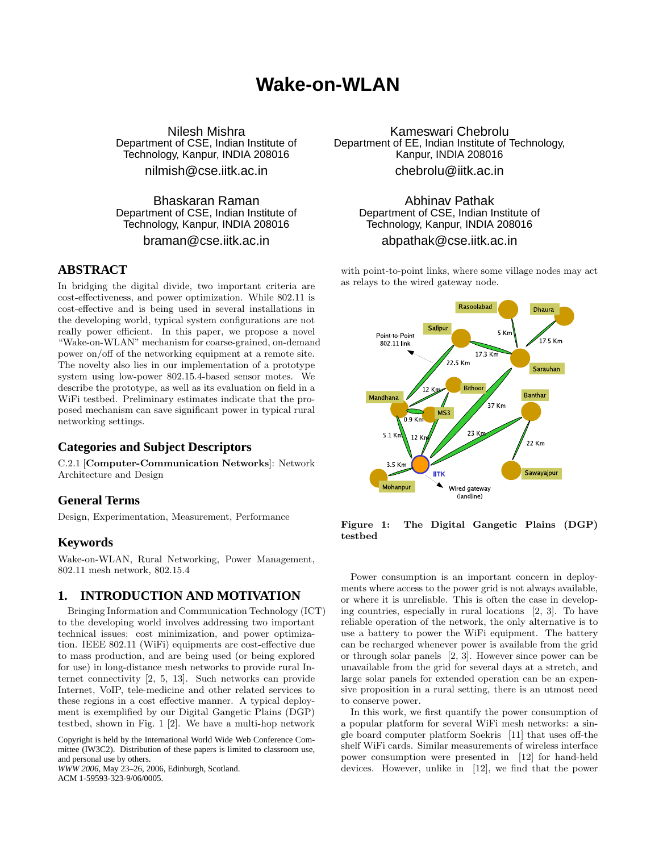# **Wake-on-WLAN**

Nilesh Mishra Department of CSE, Indian Institute of Technology, Kanpur, INDIA 208016

nilmish@cse.iitk.ac.in

Bhaskaran Raman Department of CSE, Indian Institute of Technology, Kanpur, INDIA 208016

braman@cse.iitk.ac.in

### **ABSTRACT**

In bridging the digital divide, two important criteria are cost-effectiveness, and power optimization. While 802.11 is cost-effective and is being used in several installations in the developing world, typical system configurations are not really power efficient. In this paper, we propose a novel "Wake-on-WLAN" mechanism for coarse-grained, on-demand power on/off of the networking equipment at a remote site. The novelty also lies in our implementation of a prototype system using low-power 802.15.4-based sensor motes. We describe the prototype, as well as its evaluation on field in a WiFi testbed. Preliminary estimates indicate that the proposed mechanism can save significant power in typical rural networking settings.

# **Categories and Subject Descriptors**

C.2.1 [Computer-Communication Networks]: Network Architecture and Design

# **General Terms**

Design, Experimentation, Measurement, Performance

# **Keywords**

Wake-on-WLAN, Rural Networking, Power Management, 802.11 mesh network, 802.15.4

# **1. INTRODUCTION AND MOTIVATION**

Bringing Information and Communication Technology (ICT) to the developing world involves addressing two important technical issues: cost minimization, and power optimization. IEEE 802.11 (WiFi) equipments are cost-effective due to mass production, and are being used (or being explored for use) in long-distance mesh networks to provide rural Internet connectivity [2, 5, 13]. Such networks can provide Internet, VoIP, tele-medicine and other related services to these regions in a cost effective manner. A typical deployment is exemplified by our Digital Gangetic Plains (DGP) testbed, shown in Fig. 1 [2]. We have a multi-hop network

Copyright is held by the International World Wide Web Conference Committee (IW3C2). Distribution of these papers is limited to classroom use, and personal use by others. *WWW 2006*, May 23–26, 2006, Edinburgh, Scotland.

ACM 1-59593-323-9/06/0005.

Kameswari Chebrolu Department of EE, Indian Institute of Technology, Kanpur, INDIA 208016 chebrolu@iitk.ac.in

> Abhinav Pathak Department of CSE, Indian Institute of Technology, Kanpur, INDIA 208016 abpathak@cse.iitk.ac.in

with point-to-point links, where some village nodes may act as relays to the wired gateway node.



Figure 1: The Digital Gangetic Plains (DGP) testbed

Power consumption is an important concern in deployments where access to the power grid is not always available, or where it is unreliable. This is often the case in developing countries, especially in rural locations [2, 3]. To have reliable operation of the network, the only alternative is to use a battery to power the WiFi equipment. The battery can be recharged whenever power is available from the grid or through solar panels [2, 3]. However since power can be unavailable from the grid for several days at a stretch, and large solar panels for extended operation can be an expensive proposition in a rural setting, there is an utmost need to conserve power.

In this work, we first quantify the power consumption of a popular platform for several WiFi mesh networks: a single board computer platform Soekris [11] that uses off-the shelf WiFi cards. Similar measurements of wireless interface power consumption were presented in [12] for hand-held devices. However, unlike in [12], we find that the power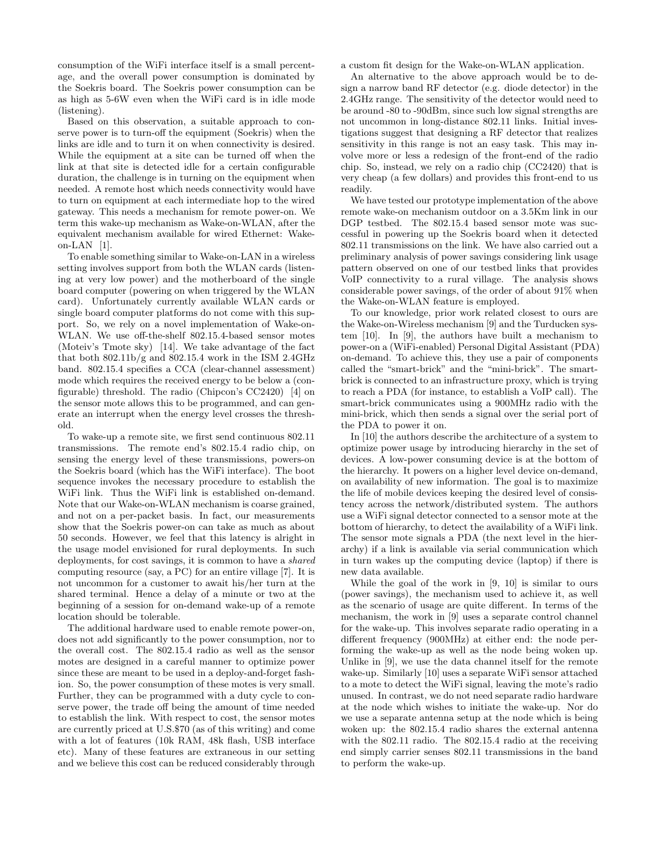consumption of the WiFi interface itself is a small percentage, and the overall power consumption is dominated by the Soekris board. The Soekris power consumption can be as high as 5-6W even when the WiFi card is in idle mode (listening).

Based on this observation, a suitable approach to conserve power is to turn-off the equipment (Soekris) when the links are idle and to turn it on when connectivity is desired. While the equipment at a site can be turned off when the link at that site is detected idle for a certain configurable duration, the challenge is in turning on the equipment when needed. A remote host which needs connectivity would have to turn on equipment at each intermediate hop to the wired gateway. This needs a mechanism for remote power-on. We term this wake-up mechanism as Wake-on-WLAN, after the equivalent mechanism available for wired Ethernet: Wakeon-LAN  $[1]$ .

To enable something similar to Wake-on-LAN in a wireless setting involves support from both the WLAN cards (listening at very low power) and the motherboard of the single board computer (powering on when triggered by the WLAN card). Unfortunately currently available WLAN cards or single board computer platforms do not come with this support. So, we rely on a novel implementation of Wake-on-WLAN. We use off-the-shelf 802.15.4-based sensor motes (Moteiv's Tmote sky) [14]. We take advantage of the fact that both 802.11b/g and 802.15.4 work in the ISM 2.4GHz band. 802.15.4 specifies a CCA (clear-channel assessment) mode which requires the received energy to be below a (configurable) threshold. The radio (Chipcon's CC2420) [4] on the sensor mote allows this to be programmed, and can generate an interrupt when the energy level crosses the threshold.

To wake-up a remote site, we first send continuous 802.11 transmissions. The remote end's 802.15.4 radio chip, on sensing the energy level of these transmissions, powers-on the Soekris board (which has the WiFi interface). The boot sequence invokes the necessary procedure to establish the WiFi link. Thus the WiFi link is established on-demand. Note that our Wake-on-WLAN mechanism is coarse grained, and not on a per-packet basis. In fact, our measurements show that the Soekris power-on can take as much as about 50 seconds. However, we feel that this latency is alright in the usage model envisioned for rural deployments. In such deployments, for cost savings, it is common to have a shared computing resource (say, a PC) for an entire village [7]. It is not uncommon for a customer to await his/her turn at the shared terminal. Hence a delay of a minute or two at the beginning of a session for on-demand wake-up of a remote location should be tolerable.

The additional hardware used to enable remote power-on, does not add significantly to the power consumption, nor to the overall cost. The 802.15.4 radio as well as the sensor motes are designed in a careful manner to optimize power since these are meant to be used in a deploy-and-forget fashion. So, the power consumption of these motes is very small. Further, they can be programmed with a duty cycle to conserve power, the trade off being the amount of time needed to establish the link. With respect to cost, the sensor motes are currently priced at U.S.\$70 (as of this writing) and come with a lot of features (10k RAM, 48k flash, USB interface etc). Many of these features are extraneous in our setting and we believe this cost can be reduced considerably through a custom fit design for the Wake-on-WLAN application.

An alternative to the above approach would be to design a narrow band RF detector (e.g. diode detector) in the 2.4GHz range. The sensitivity of the detector would need to be around -80 to -90dBm, since such low signal strengths are not uncommon in long-distance 802.11 links. Initial investigations suggest that designing a RF detector that realizes sensitivity in this range is not an easy task. This may involve more or less a redesign of the front-end of the radio chip. So, instead, we rely on a radio chip (CC2420) that is very cheap (a few dollars) and provides this front-end to us readily.

We have tested our prototype implementation of the above remote wake-on mechanism outdoor on a 3.5Km link in our DGP testbed. The 802.15.4 based sensor mote was successful in powering up the Soekris board when it detected 802.11 transmissions on the link. We have also carried out a preliminary analysis of power savings considering link usage pattern observed on one of our testbed links that provides VoIP connectivity to a rural village. The analysis shows considerable power savings, of the order of about 91% when the Wake-on-WLAN feature is employed.

To our knowledge, prior work related closest to ours are the Wake-on-Wireless mechanism [9] and the Turducken system [10]. In [9], the authors have built a mechanism to power-on a (WiFi-enabled) Personal Digital Assistant (PDA) on-demand. To achieve this, they use a pair of components called the "smart-brick" and the "mini-brick". The smartbrick is connected to an infrastructure proxy, which is trying to reach a PDA (for instance, to establish a VoIP call). The smart-brick communicates using a 900MHz radio with the mini-brick, which then sends a signal over the serial port of the PDA to power it on.

In [10] the authors describe the architecture of a system to optimize power usage by introducing hierarchy in the set of devices. A low-power consuming device is at the bottom of the hierarchy. It powers on a higher level device on-demand, on availability of new information. The goal is to maximize the life of mobile devices keeping the desired level of consistency across the network/distributed system. The authors use a WiFi signal detector connected to a sensor mote at the bottom of hierarchy, to detect the availability of a WiFi link. The sensor mote signals a PDA (the next level in the hierarchy) if a link is available via serial communication which in turn wakes up the computing device (laptop) if there is new data available.

While the goal of the work in [9, 10] is similar to ours (power savings), the mechanism used to achieve it, as well as the scenario of usage are quite different. In terms of the mechanism, the work in [9] uses a separate control channel for the wake-up. This involves separate radio operating in a different frequency (900MHz) at either end: the node performing the wake-up as well as the node being woken up. Unlike in [9], we use the data channel itself for the remote wake-up. Similarly [10] uses a separate WiFi sensor attached to a mote to detect the WiFi signal, leaving the mote's radio unused. In contrast, we do not need separate radio hardware at the node which wishes to initiate the wake-up. Nor do we use a separate antenna setup at the node which is being woken up: the 802.15.4 radio shares the external antenna with the 802.11 radio. The 802.15.4 radio at the receiving end simply carrier senses 802.11 transmissions in the band to perform the wake-up.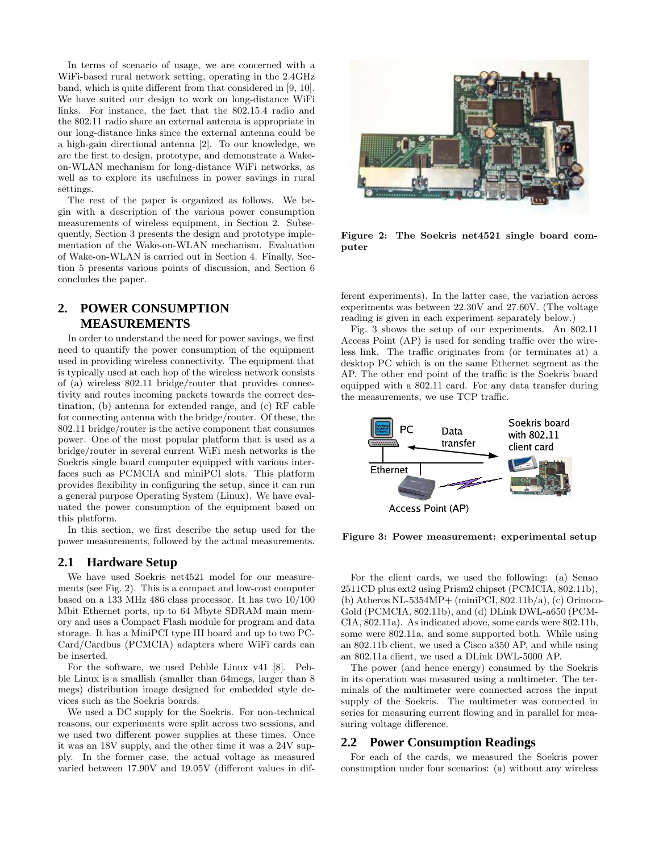In terms of scenario of usage, we are concerned with a WiFi-based rural network setting, operating in the 2.4GHz band, which is quite different from that considered in [9, 10]. We have suited our design to work on long-distance WiFi links. For instance, the fact that the 802.15.4 radio and the 802.11 radio share an external antenna is appropriate in our long-distance links since the external antenna could be a high-gain directional antenna [2]. To our knowledge, we are the first to design, prototype, and demonstrate a Wakeon-WLAN mechanism for long-distance WiFi networks, as well as to explore its usefulness in power savings in rural settings.

The rest of the paper is organized as follows. We begin with a description of the various power consumption measurements of wireless equipment, in Section 2. Subsequently, Section 3 presents the design and prototype implementation of the Wake-on-WLAN mechanism. Evaluation of Wake-on-WLAN is carried out in Section 4. Finally, Section 5 presents various points of discussion, and Section 6 concludes the paper.

# **2. POWER CONSUMPTION MEASUREMENTS**

In order to understand the need for power savings, we first need to quantify the power consumption of the equipment used in providing wireless connectivity. The equipment that is typically used at each hop of the wireless network consists of (a) wireless 802.11 bridge/router that provides connectivity and routes incoming packets towards the correct destination, (b) antenna for extended range, and (c) RF cable for connecting antenna with the bridge/router. Of these, the 802.11 bridge/router is the active component that consumes power. One of the most popular platform that is used as a bridge/router in several current WiFi mesh networks is the Soekris single board computer equipped with various interfaces such as PCMCIA and miniPCI slots. This platform provides flexibility in configuring the setup, since it can run a general purpose Operating System (Linux). We have evaluated the power consumption of the equipment based on this platform.

In this section, we first describe the setup used for the power measurements, followed by the actual measurements.

### **2.1 Hardware Setup**

We have used Soekris net4521 model for our measurements (see Fig. 2). This is a compact and low-cost computer based on a 133 MHz 486 class processor. It has two 10/100 Mbit Ethernet ports, up to 64 Mbyte SDRAM main memory and uses a Compact Flash module for program and data storage. It has a MiniPCI type III board and up to two PC-Card/Cardbus (PCMCIA) adapters where WiFi cards can be inserted.

For the software, we used Pebble Linux v41 [8]. Pebble Linux is a smallish (smaller than 64megs, larger than 8 megs) distribution image designed for embedded style devices such as the Soekris boards.

We used a DC supply for the Soekris. For non-technical reasons, our experiments were split across two sessions, and we used two different power supplies at these times. Once it was an 18V supply, and the other time it was a 24V supply. In the former case, the actual voltage as measured varied between 17.90V and 19.05V (different values in dif-



Figure 2: The Soekris net4521 single board computer

ferent experiments). In the latter case, the variation across experiments was between 22.30V and 27.60V. (The voltage reading is given in each experiment separately below.)

Fig. 3 shows the setup of our experiments. An 802.11 Access Point (AP) is used for sending traffic over the wireless link. The traffic originates from (or terminates at) a desktop PC which is on the same Ethernet segment as the AP. The other end point of the traffic is the Soekris board equipped with a 802.11 card. For any data transfer during the measurements, we use TCP traffic.



Figure 3: Power measurement: experimental setup

For the client cards, we used the following: (a) Senao 2511CD plus ext2 using Prism2 chipset (PCMCIA, 802.11b), (b) Atheros NL-5354MP+ (miniPCI, 802.11b/a), (c) Orinoco-Gold (PCMCIA, 802.11b), and (d) DLink DWL-a650 (PCM-CIA, 802.11a). As indicated above, some cards were 802.11b, some were 802.11a, and some supported both. While using an 802.11b client, we used a Cisco a350 AP, and while using an 802.11a client, we used a DLink DWL-5000 AP.

The power (and hence energy) consumed by the Soekris in its operation was measured using a multimeter. The terminals of the multimeter were connected across the input supply of the Soekris. The multimeter was connected in series for measuring current flowing and in parallel for measuring voltage difference.

#### **2.2 Power Consumption Readings**

For each of the cards, we measured the Soekris power consumption under four scenarios: (a) without any wireless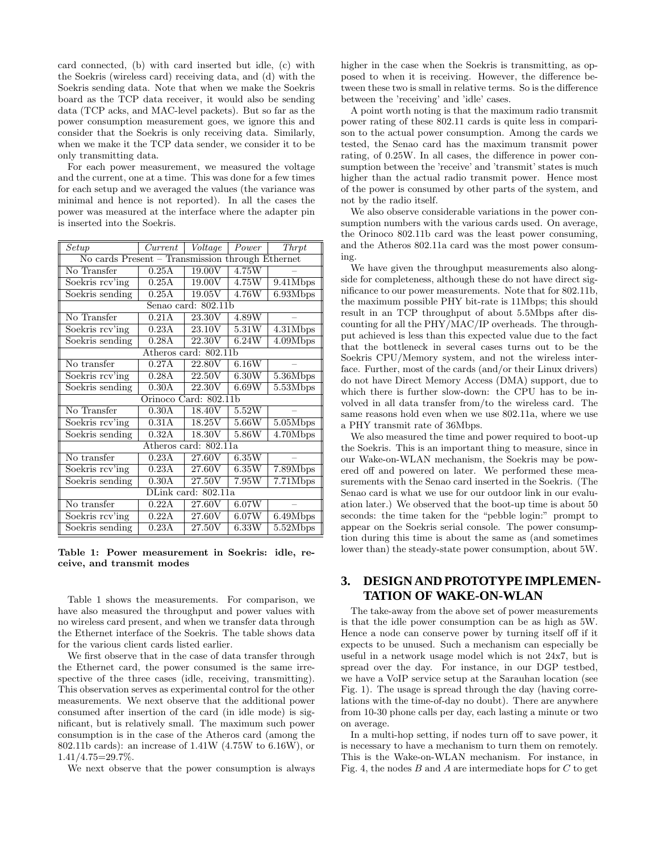card connected, (b) with card inserted but idle, (c) with the Soekris (wireless card) receiving data, and (d) with the Soekris sending data. Note that when we make the Soekris board as the TCP data receiver, it would also be sending data (TCP acks, and MAC-level packets). But so far as the power consumption measurement goes, we ignore this and consider that the Soekris is only receiving data. Similarly, when we make it the TCP data sender, we consider it to be only transmitting data.

For each power measurement, we measured the voltage and the current, one at a time. This was done for a few times for each setup and we averaged the values (the variance was minimal and hence is not reported). In all the cases the power was measured at the interface where the adapter pin is inserted into the Soekris.

| Setup                                            | Current | Voltage             | Power        | Thrpt    |  |
|--------------------------------------------------|---------|---------------------|--------------|----------|--|
| No cards Present - Transmission through Ethernet |         |                     |              |          |  |
| No Transfer                                      | 0.25A   | $\overline{19.00}V$ | 4.75W        |          |  |
| Soekris rcv'ing                                  | 0.25A   | 19.00V              | 4.75W        | 9.41Mbps |  |
| Soekris sending                                  | 0.25A   | 19.05V              | 4.76W        | 6.93Mbps |  |
| Senao card: 802.11b                              |         |                     |              |          |  |
| No Transfer                                      | 0.21A   | 23.30V              | 4.89W        |          |  |
| Soekris rcv'ing                                  | 0.23A   | 23.10V              | 5.31W        | 4.31Mbps |  |
| Soekris sending                                  | 0.28A   | 22.30V              | 6.24W        | 4.09Mbps |  |
| Atheros card: 802.11b                            |         |                     |              |          |  |
| No transfer                                      | 0.27A   | 22.80V              | 6.16W        |          |  |
| Soekris rcv'ing                                  | 0.28A   | 22.50V              | 6.30W        | 5.36Mbps |  |
| Soekris sending                                  | 0.30A   | 22.30V              | $6.69\rm{W}$ | 5.53Mbps |  |
| Orinoco Card: 802.11b                            |         |                     |              |          |  |
| $\overline{\text{No}}$ Transfer                  | 0.30A   | 18.40V              | 5.52W        |          |  |
| Soekris rcv'ing                                  | 0.31A   | 18.25V              | 5.66W        | 5.05Mbps |  |
| Soekris sending                                  | 0.32A   | 18.30V              | 5.86W        | 4.70Mbps |  |
| Atheros card: 802.11a                            |         |                     |              |          |  |
| No transfer                                      | 0.23A   | 27.60V              | 6.35W        |          |  |
| Soekris rcv'ing                                  | 0.23A   | 27.60V              | $6.35\rm{W}$ | 7.89Mbps |  |
| Soekris sending                                  | 0.30A   | 27.50V              | 7.95W        | 7.71Mbps |  |
| DLink card: 802.11a                              |         |                     |              |          |  |
| No transfer                                      | 0.22A   | 27.60V              | 6.07W        |          |  |
| Soekris rcv'ing                                  | 0.22A   | 27.60V              | 6.07W        | 6.49Mbps |  |
| Soekris sending                                  | 0.23A   | 27.50V              | 6.33W        | 5.52Mbps |  |

Table 1: Power measurement in Soekris: idle, receive, and transmit modes

Table 1 shows the measurements. For comparison, we have also measured the throughput and power values with no wireless card present, and when we transfer data through the Ethernet interface of the Soekris. The table shows data for the various client cards listed earlier.

We first observe that in the case of data transfer through the Ethernet card, the power consumed is the same irrespective of the three cases (idle, receiving, transmitting). This observation serves as experimental control for the other measurements. We next observe that the additional power consumed after insertion of the card (in idle mode) is significant, but is relatively small. The maximum such power consumption is in the case of the Atheros card (among the 802.11b cards): an increase of 1.41W (4.75W to 6.16W), or 1.41/4.75=29.7%.

We next observe that the power consumption is always

higher in the case when the Soekris is transmitting, as opposed to when it is receiving. However, the difference between these two is small in relative terms. So is the difference between the 'receiving' and 'idle' cases.

A point worth noting is that the maximum radio transmit power rating of these 802.11 cards is quite less in comparison to the actual power consumption. Among the cards we tested, the Senao card has the maximum transmit power rating, of 0.25W. In all cases, the difference in power consumption between the 'receive' and 'transmit' states is much higher than the actual radio transmit power. Hence most of the power is consumed by other parts of the system, and not by the radio itself.

We also observe considerable variations in the power consumption numbers with the various cards used. On average, the Orinoco 802.11b card was the least power consuming, and the Atheros 802.11a card was the most power consuming.

We have given the throughput measurements also alongside for completeness, although these do not have direct significance to our power measurements. Note that for 802.11b, the maximum possible PHY bit-rate is 11Mbps; this should result in an TCP throughput of about 5.5Mbps after discounting for all the PHY/MAC/IP overheads. The throughput achieved is less than this expected value due to the fact that the bottleneck in several cases turns out to be the Soekris CPU/Memory system, and not the wireless interface. Further, most of the cards (and/or their Linux drivers) do not have Direct Memory Access (DMA) support, due to which there is further slow-down: the CPU has to be involved in all data transfer from/to the wireless card. The same reasons hold even when we use 802.11a, where we use a PHY transmit rate of 36Mbps.

We also measured the time and power required to boot-up the Soekris. This is an important thing to measure, since in our Wake-on-WLAN mechanism, the Soekris may be powered off and powered on later. We performed these measurements with the Senao card inserted in the Soekris. (The Senao card is what we use for our outdoor link in our evaluation later.) We observed that the boot-up time is about 50 seconds: the time taken for the "pebble login:" prompt to appear on the Soekris serial console. The power consumption during this time is about the same as (and sometimes lower than) the steady-state power consumption, about 5W.

# **3. DESIGN AND PROTOTYPEIMPLEMEN-TATION OF WAKE-ON-WLAN**

The take-away from the above set of power measurements is that the idle power consumption can be as high as 5W. Hence a node can conserve power by turning itself off if it expects to be unused. Such a mechanism can especially be useful in a network usage model which is not 24x7, but is spread over the day. For instance, in our DGP testbed, we have a VoIP service setup at the Sarauhan location (see Fig. 1). The usage is spread through the day (having correlations with the time-of-day no doubt). There are anywhere from 10-30 phone calls per day, each lasting a minute or two on average.

In a multi-hop setting, if nodes turn off to save power, it is necessary to have a mechanism to turn them on remotely. This is the Wake-on-WLAN mechanism. For instance, in Fig. 4, the nodes  $B$  and  $A$  are intermediate hops for  $C$  to get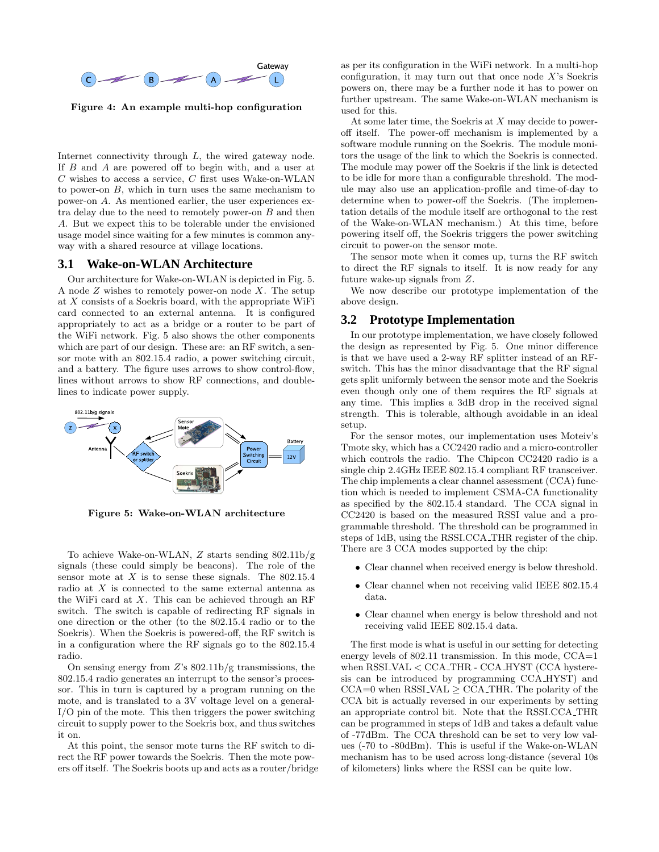

Figure 4: An example multi-hop configuration

Internet connectivity through L, the wired gateway node. If B and A are powered off to begin with, and a user at  $C$  wishes to access a service,  $C$  first uses Wake-on-WLAN to power-on  $B$ , which in turn uses the same mechanism to power-on A. As mentioned earlier, the user experiences extra delay due to the need to remotely power-on  $B$  and then A. But we expect this to be tolerable under the envisioned usage model since waiting for a few minutes is common anyway with a shared resource at village locations.

### **3.1 Wake-on-WLAN Architecture**

Our architecture for Wake-on-WLAN is depicted in Fig. 5. A node  $Z$  wishes to remotely power-on node  $X$ . The setup at  $X$  consists of a Soekris board, with the appropriate WiFi card connected to an external antenna. It is configured appropriately to act as a bridge or a router to be part of the WiFi network. Fig. 5 also shows the other components which are part of our design. These are: an RF switch, a sensor mote with an 802.15.4 radio, a power switching circuit, and a battery. The figure uses arrows to show control-flow, lines without arrows to show RF connections, and doublelines to indicate power supply.



Figure 5: Wake-on-WLAN architecture

To achieve Wake-on-WLAN, Z starts sending 802.11b/g signals (these could simply be beacons). The role of the sensor mote at  $X$  is to sense these signals. The 802.15.4 radio at X is connected to the same external antenna as the WiFi card at  $X$ . This can be achieved through an RF switch. The switch is capable of redirecting RF signals in one direction or the other (to the 802.15.4 radio or to the Soekris). When the Soekris is powered-off, the RF switch is in a configuration where the RF signals go to the 802.15.4 radio.

On sensing energy from  $Z$ 's 802.11b/g transmissions, the 802.15.4 radio generates an interrupt to the sensor's processor. This in turn is captured by a program running on the mote, and is translated to a 3V voltage level on a general-I/O pin of the mote. This then triggers the power switching circuit to supply power to the Soekris box, and thus switches it on.

At this point, the sensor mote turns the RF switch to direct the RF power towards the Soekris. Then the mote powers off itself. The Soekris boots up and acts as a router/bridge as per its configuration in the WiFi network. In a multi-hop configuration, it may turn out that once node  $X$ 's Soekris powers on, there may be a further node it has to power on further upstream. The same Wake-on-WLAN mechanism is used for this.

At some later time, the Soekris at  $X$  may decide to poweroff itself. The power-off mechanism is implemented by a software module running on the Soekris. The module monitors the usage of the link to which the Soekris is connected. The module may power off the Soekris if the link is detected to be idle for more than a configurable threshold. The module may also use an application-profile and time-of-day to determine when to power-off the Soekris. (The implementation details of the module itself are orthogonal to the rest of the Wake-on-WLAN mechanism.) At this time, before powering itself off, the Soekris triggers the power switching circuit to power-on the sensor mote.

The sensor mote when it comes up, turns the RF switch to direct the RF signals to itself. It is now ready for any future wake-up signals from Z.

We now describe our prototype implementation of the above design.

#### **3.2 Prototype Implementation**

In our prototype implementation, we have closely followed the design as represented by Fig. 5. One minor difference is that we have used a 2-way RF splitter instead of an RFswitch. This has the minor disadvantage that the RF signal gets split uniformly between the sensor mote and the Soekris even though only one of them requires the RF signals at any time. This implies a 3dB drop in the received signal strength. This is tolerable, although avoidable in an ideal setup.

For the sensor motes, our implementation uses Moteiv's Tmote sky, which has a CC2420 radio and a micro-controller which controls the radio. The Chipcon CC2420 radio is a single chip 2.4GHz IEEE 802.15.4 compliant RF transceiver. The chip implements a clear channel assessment (CCA) function which is needed to implement CSMA-CA functionality as specified by the 802.15.4 standard. The CCA signal in CC2420 is based on the measured RSSI value and a programmable threshold. The threshold can be programmed in steps of 1dB, using the RSSI.CCA THR register of the chip. There are 3 CCA modes supported by the chip:

- Clear channel when received energy is below threshold.
- Clear channel when not receiving valid IEEE 802.15.4 data.
- Clear channel when energy is below threshold and not receiving valid IEEE 802.15.4 data.

The first mode is what is useful in our setting for detecting energy levels of 802.11 transmission. In this mode, CCA=1 when RSSI VAL < CCA THR - CCA HYST (CCA hysteresis can be introduced by programming CCA HYST) and  $CCA=0$  when RSSI VAL  $\geq$  CCA THR. The polarity of the CCA bit is actually reversed in our experiments by setting an appropriate control bit. Note that the RSSI.CCA THR can be programmed in steps of 1dB and takes a default value of -77dBm. The CCA threshold can be set to very low values (-70 to -80dBm). This is useful if the Wake-on-WLAN mechanism has to be used across long-distance (several 10s of kilometers) links where the RSSI can be quite low.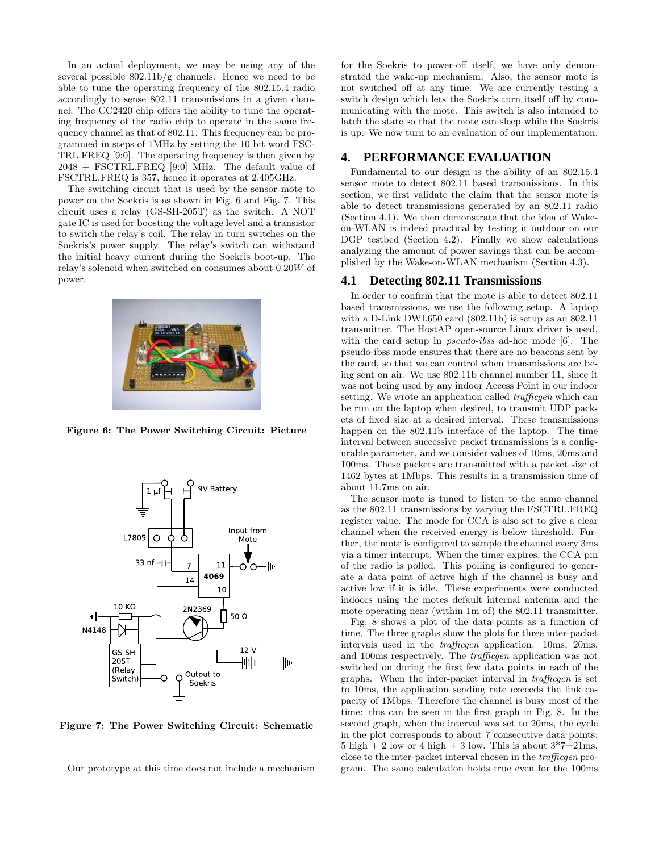In an actual deployment, we may be using any of the several possible  $802.11\frac{b}{g}$  channels. Hence we need to be able to tune the operating frequency of the 802.15.4 radio accordingly to sense 802.11 transmissions in a given channel. The CC2420 chip offers the ability to tune the operating frequency of the radio chip to operate in the same frequency channel as that of 802.11. This frequency can be programmed in steps of 1MHz by setting the 10 bit word FSC-TRL.FREQ [9:0]. The operating frequency is then given by 2048 + FSCTRL.FREQ [9:0] MHz. The default value of FSCTRL.FREQ is 357, hence it operates at 2.405GHz.

The switching circuit that is used by the sensor mote to power on the Soekris is as shown in Fig. 6 and Fig. 7. This circuit uses a relay (GS-SH-205T) as the switch. A NOT gate IC is used for boosting the voltage level and a transistor to switch the relay's coil. The relay in turn switches on the Soekris's power supply. The relay's switch can withstand the initial heavy current during the Soekris boot-up. The relay's solenoid when switched on consumes about 0.20W of power.



Figure 6: The Power Switching Circuit: Picture



Figure 7: The Power Switching Circuit: Schematic

Our prototype at this time does not include a mechanism

for the Soekris to power-off itself, we have only demonstrated the wake-up mechanism. Also, the sensor mote is not switched off at any time. We are currently testing a switch design which lets the Soekris turn itself off by communicating with the mote. This switch is also intended to latch the state so that the mote can sleep while the Soekris is up. We now turn to an evaluation of our implementation.

### **4. PERFORMANCE EVALUATION**

Fundamental to our design is the ability of an 802.15.4 sensor mote to detect 802.11 based transmissions. In this section, we first validate the claim that the sensor mote is able to detect transmissions generated by an 802.11 radio (Section 4.1). We then demonstrate that the idea of Wakeon-WLAN is indeed practical by testing it outdoor on our DGP testbed (Section 4.2). Finally we show calculations analyzing the amount of power savings that can be accomplished by the Wake-on-WLAN mechanism (Section 4.3).

#### **4.1 Detecting 802.11 Transmissions**

In order to confirm that the mote is able to detect 802.11 based transmissions, we use the following setup. A laptop with a D-Link DWL650 card (802.11b) is setup as an 802.11 transmitter. The HostAP open-source Linux driver is used, with the card setup in *pseudo-ibss* ad-hoc mode [6]. The pseudo-ibss mode ensures that there are no beacons sent by the card, so that we can control when transmissions are being sent on air. We use 802.11b channel number 11, since it was not being used by any indoor Access Point in our indoor setting. We wrote an application called *trafficgen* which can be run on the laptop when desired, to transmit UDP packets of fixed size at a desired interval. These transmissions happen on the 802.11b interface of the laptop. The time interval between successive packet transmissions is a configurable parameter, and we consider values of 10ms, 20ms and 100ms. These packets are transmitted with a packet size of 1462 bytes at 1Mbps. This results in a transmission time of about 11.7ms on air.

The sensor mote is tuned to listen to the same channel as the 802.11 transmissions by varying the FSCTRL.FREQ register value. The mode for CCA is also set to give a clear channel when the received energy is below threshold. Further, the mote is configured to sample the channel every 3ms via a timer interrupt. When the timer expires, the CCA pin of the radio is polled. This polling is configured to generate a data point of active high if the channel is busy and active low if it is idle. These experiments were conducted indoors using the motes default internal antenna and the mote operating near (within 1m of) the 802.11 transmitter.

Fig. 8 shows a plot of the data points as a function of time. The three graphs show the plots for three inter-packet intervals used in the trafficgen application: 10ms, 20ms, and 100ms respectively. The trafficgen application was not switched on during the first few data points in each of the graphs. When the inter-packet interval in trafficgen is set to 10ms, the application sending rate exceeds the link capacity of 1Mbps. Therefore the channel is busy most of the time: this can be seen in the first graph in Fig. 8. In the second graph, when the interval was set to 20ms, the cycle in the plot corresponds to about 7 consecutive data points: 5 high  $+ 2$  low or 4 high  $+ 3$  low. This is about  $3*7=21$ ms, close to the inter-packet interval chosen in the trafficgen program. The same calculation holds true even for the 100ms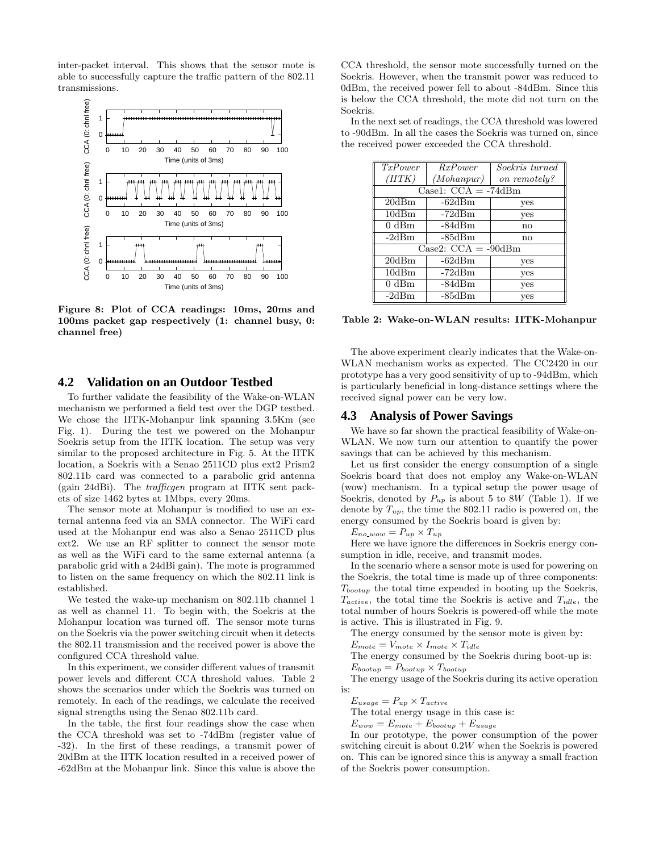inter-packet interval. This shows that the sensor mote is able to successfully capture the traffic pattern of the 802.11 transmissions.



Figure 8: Plot of CCA readings: 10ms, 20ms and 100ms packet gap respectively (1: channel busy, 0: channel free)

#### **4.2 Validation on an Outdoor Testbed**

To further validate the feasibility of the Wake-on-WLAN mechanism we performed a field test over the DGP testbed. We chose the IITK-Mohanpur link spanning 3.5Km (see Fig. 1). During the test we powered on the Mohanpur Soekris setup from the IITK location. The setup was very similar to the proposed architecture in Fig. 5. At the IITK location, a Soekris with a Senao 2511CD plus ext2 Prism2 802.11b card was connected to a parabolic grid antenna (gain 24dBi). The trafficgen program at IITK sent packets of size 1462 bytes at 1Mbps, every 20ms.

The sensor mote at Mohanpur is modified to use an external antenna feed via an SMA connector. The WiFi card used at the Mohanpur end was also a Senao 2511CD plus ext2. We use an RF splitter to connect the sensor mote as well as the WiFi card to the same external antenna (a parabolic grid with a 24dBi gain). The mote is programmed to listen on the same frequency on which the 802.11 link is established.

We tested the wake-up mechanism on 802.11b channel 1 as well as channel 11. To begin with, the Soekris at the Mohanpur location was turned off. The sensor mote turns on the Soekris via the power switching circuit when it detects the 802.11 transmission and the received power is above the configured CCA threshold value.

In this experiment, we consider different values of transmit power levels and different CCA threshold values. Table 2 shows the scenarios under which the Soekris was turned on remotely. In each of the readings, we calculate the received signal strengths using the Senao 802.11b card.

In the table, the first four readings show the case when the CCA threshold was set to -74dBm (register value of -32). In the first of these readings, a transmit power of 20dBm at the IITK location resulted in a received power of -62dBm at the Mohanpur link. Since this value is above the

CCA threshold, the sensor mote successfully turned on the Soekris. However, when the transmit power was reduced to 0dBm, the received power fell to about -84dBm. Since this is below the CCA threshold, the mote did not turn on the Soekris.

In the next set of readings, the CCA threshold was lowered to -90dBm. In all the cases the Soekris was turned on, since the received power exceeded the CCA threshold.

| $\overline{TxPower}$                     | $\overline{Rx} Power$ | Soekris turned |  |  |  |
|------------------------------------------|-----------------------|----------------|--|--|--|
| (HTK)                                    | (Mohan pur)           | on remotely?   |  |  |  |
| Case1: $CCA = -74dBm$                    |                       |                |  |  |  |
| 20dBm                                    | $-62dBm$              | yes            |  |  |  |
| 10dBm                                    | $-72dBm$              | yes            |  |  |  |
| $0 \text{ dBm}$                          | $-84dBm$              | no             |  |  |  |
| $-2dBm$                                  | $-85dBm$              | no             |  |  |  |
| $\overline{\text{Case2}}$ : CCA = -90dBm |                       |                |  |  |  |
| 20dBm                                    | $-62dBm$              | yes            |  |  |  |
| 10dBm                                    | $-72dBm$              | yes            |  |  |  |
| $0 \text{ dBm}$                          | $-84dBm$              | yes            |  |  |  |
| $-2dBm$                                  | $-85dBm$              | yes            |  |  |  |

Table 2: Wake-on-WLAN results: IITK-Mohanpur

The above experiment clearly indicates that the Wake-on-WLAN mechanism works as expected. The CC2420 in our prototype has a very good sensitivity of up to -94dBm, which is particularly beneficial in long-distance settings where the received signal power can be very low.

#### **4.3 Analysis of Power Savings**

We have so far shown the practical feasibility of Wake-on-WLAN. We now turn our attention to quantify the power savings that can be achieved by this mechanism.

Let us first consider the energy consumption of a single Soekris board that does not employ any Wake-on-WLAN (wow) mechanism. In a typical setup the power usage of Soekris, denoted by  $P_{up}$  is about 5 to 8W (Table 1). If we denote by  $T_{up}$ , the time the 802.11 radio is powered on, the energy consumed by the Soekris board is given by:

 $E_{no\_www} = P_{up} \times T_{up}$ 

Here we have ignore the differences in Soekris energy consumption in idle, receive, and transmit modes.

In the scenario where a sensor mote is used for powering on the Soekris, the total time is made up of three components:  $T_{bootstrap}$  the total time expended in booting up the Soekris,  $T_{active}$ , the total time the Soekris is active and  $T_{idle}$ , the total number of hours Soekris is powered-off while the mote is active. This is illustrated in Fig. 9.

The energy consumed by the sensor mote is given by:

 $E_{mote} = V_{mote} \times I_{mote} \times T_{idle}$ 

The energy consumed by the Soekris during boot-up is:  $E_{bootstrap} = P_{bootstrap} \times T_{bootstrap}$ 

The energy usage of the Soekris during its active operation is:

$$
E_{usage} = P_{up} \times T_{active}
$$

The total energy usage in this case is:

 $E_{wow} = E_{mote} + E_{bootup} + E_{usage}$ 

In our prototype, the power consumption of the power switching circuit is about 0.2W when the Soekris is powered on. This can be ignored since this is anyway a small fraction of the Soekris power consumption.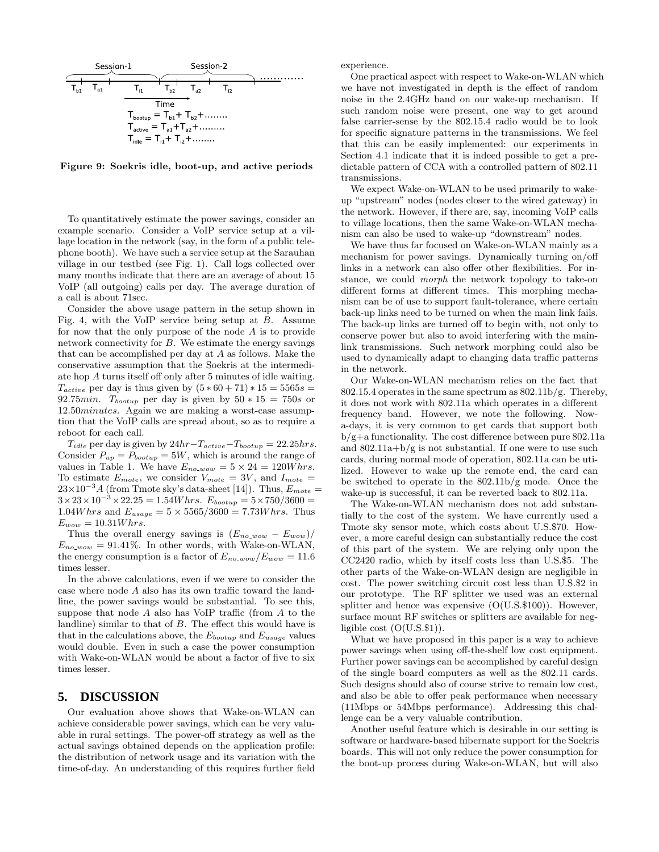

Figure 9: Soekris idle, boot-up, and active periods

To quantitatively estimate the power savings, consider an example scenario. Consider a VoIP service setup at a village location in the network (say, in the form of a public telephone booth). We have such a service setup at the Sarauhan village in our testbed (see Fig. 1). Call logs collected over many months indicate that there are an average of about 15 VoIP (all outgoing) calls per day. The average duration of a call is about 71sec.

Consider the above usage pattern in the setup shown in Fig. 4, with the VoIP service being setup at B. Assume for now that the only purpose of the node  $A$  is to provide network connectivity for B. We estimate the energy savings that can be accomplished per day at  $A$  as follows. Make the conservative assumption that the Soekris at the intermediate hop A turns itself off only after 5 minutes of idle waiting.  $T_{active}$  per day is thus given by  $(5 * 60 + 71) * 15 = 5565s$ 92.75*min.*  $T_{bootstrap}$  per day is given by  $50 * 15 = 750s$  or 12.50minutes. Again we are making a worst-case assumption that the VoIP calls are spread about, so as to require a reboot for each call.

 $T_{idle}$  per day is given by  $24hr-T_{active}-T_{bootstrap} = 22.25 hrs$ . Consider  $P_{up} = P_{bootup} = 5W$ , which is around the range of values in Table 1. We have  $E_{no\_www} = 5 \times 24 = 120W hrs.$ To estimate  $E_{mote}$ , we consider  $V_{mote} = 3V$ , and  $I_{mote} =$  $23\times10^{-3}$ A (from Tmote sky's data-sheet [14]). Thus,  $E_{\text{note}} =$  $3\times23\times10^{-3}\times22.25 = 1.54Whrs.$   $E_{bootup} = 5\times750/3600 =$ 1.04*Whrs* and  $E_{usage} = 5 \times 5565/3600 = 7.73Whrs$ . Thus  $E_{wow} = 10.31Whrs.$ 

Thus the overall energy savings is  $(E_{no\_www} - E_{www})/$  $E_{no\text{-}wow} = 91.41\%$ . In other words, with Wake-on-WLAN, the energy consumption is a factor of  $E_{no\_www}/E_{www} = 11.6$ times lesser.

In the above calculations, even if we were to consider the case where node A also has its own traffic toward the landline, the power savings would be substantial. To see this, suppose that node  $A$  also has VoIP traffic (from  $A$  to the landline) similar to that of B. The effect this would have is that in the calculations above, the  $E_{bootup}$  and  $E_{usage}$  values would double. Even in such a case the power consumption with Wake-on-WLAN would be about a factor of five to six times lesser.

### **5. DISCUSSION**

Our evaluation above shows that Wake-on-WLAN can achieve considerable power savings, which can be very valuable in rural settings. The power-off strategy as well as the actual savings obtained depends on the application profile: the distribution of network usage and its variation with the time-of-day. An understanding of this requires further field experience.

One practical aspect with respect to Wake-on-WLAN which we have not investigated in depth is the effect of random noise in the 2.4GHz band on our wake-up mechanism. If such random noise were present, one way to get around false carrier-sense by the 802.15.4 radio would be to look for specific signature patterns in the transmissions. We feel that this can be easily implemented: our experiments in Section 4.1 indicate that it is indeed possible to get a predictable pattern of CCA with a controlled pattern of 802.11 transmissions.

We expect Wake-on-WLAN to be used primarily to wakeup "upstream" nodes (nodes closer to the wired gateway) in the network. However, if there are, say, incoming VoIP calls to village locations, then the same Wake-on-WLAN mechanism can also be used to wake-up "downstream" nodes.

We have thus far focused on Wake-on-WLAN mainly as a mechanism for power savings. Dynamically turning on/off links in a network can also offer other flexibilities. For instance, we could morph the network topology to take-on different forms at different times. This morphing mechanism can be of use to support fault-tolerance, where certain back-up links need to be turned on when the main link fails. The back-up links are turned off to begin with, not only to conserve power but also to avoid interfering with the mainlink transmissions. Such network morphing could also be used to dynamically adapt to changing data traffic patterns in the network.

Our Wake-on-WLAN mechanism relies on the fact that  $802.15.4$  operates in the same spectrum as  $802.11b/g$ . Thereby, it does not work with 802.11a which operates in a different frequency band. However, we note the following. Nowa-days, it is very common to get cards that support both  $b/g+a$  functionality. The cost difference between pure 802.11a and  $802.11a+b/g$  is not substantial. If one were to use such cards, during normal mode of operation, 802.11a can be utilized. However to wake up the remote end, the card can be switched to operate in the 802.11b/g mode. Once the wake-up is successful, it can be reverted back to 802.11a.

The Wake-on-WLAN mechanism does not add substantially to the cost of the system. We have currently used a Tmote sky sensor mote, which costs about U.S.\$70. However, a more careful design can substantially reduce the cost of this part of the system. We are relying only upon the CC2420 radio, which by itself costs less than U.S.\$5. The other parts of the Wake-on-WLAN design are negligible in cost. The power switching circuit cost less than U.S.\$2 in our prototype. The RF splitter we used was an external splitter and hence was expensive  $(O( U.S. $100))$ . However, surface mount RF switches or splitters are available for negligible cost  $(O(U.S. \$1))$ .

What we have proposed in this paper is a way to achieve power savings when using off-the-shelf low cost equipment. Further power savings can be accomplished by careful design of the single board computers as well as the 802.11 cards. Such designs should also of course strive to remain low cost, and also be able to offer peak performance when necessary (11Mbps or 54Mbps performance). Addressing this challenge can be a very valuable contribution.

Another useful feature which is desirable in our setting is software or hardware-based hibernate support for the Soekris boards. This will not only reduce the power consumption for the boot-up process during Wake-on-WLAN, but will also